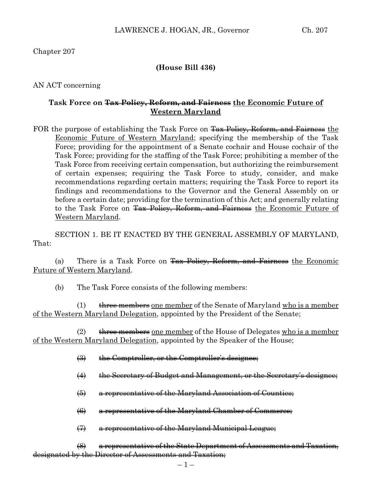Chapter 207

### **(House Bill 436)**

AN ACT concerning

### **Task Force on Tax Policy, Reform, and Fairness the Economic Future of Western Maryland**

FOR the purpose of establishing the Task Force on Tax Policy, Reform, and Fairness the Economic Future of Western Maryland; specifying the membership of the Task Force; providing for the appointment of a Senate cochair and House cochair of the Task Force; providing for the staffing of the Task Force; prohibiting a member of the Task Force from receiving certain compensation, but authorizing the reimbursement of certain expenses; requiring the Task Force to study, consider, and make recommendations regarding certain matters; requiring the Task Force to report its findings and recommendations to the Governor and the General Assembly on or before a certain date; providing for the termination of this Act; and generally relating to the Task Force on Tax Policy, Reform, and Fairness the Economic Future of Western Maryland.

SECTION 1. BE IT ENACTED BY THE GENERAL ASSEMBLY OF MARYLAND, That:

(a) There is a Task Force on Tax Policy, Reform, and Fairness the Economic Future of Western Maryland.

(b) The Task Force consists of the following members:

(1)  $t$  three members one member of the Senate of Maryland who is a member of the Western Maryland Delegation, appointed by the President of the Senate;

 $(2)$  three members one member of the House of Delegates who is a member of the Western Maryland Delegation, appointed by the Speaker of the House;

- (3) the Comptroller, or the Comptroller's designee;
- (4) the Secretary of Budget and Management, or the Secretary's designee;
- (5) a representative of the Maryland Association of Counties;
- (6) a representative of the Maryland Chamber of Commerce;
- (7) a representative of the Maryland Municipal League;

(8) a representative of the State Department of Assessments and Taxation, designated by the Director of Assessments and Taxation;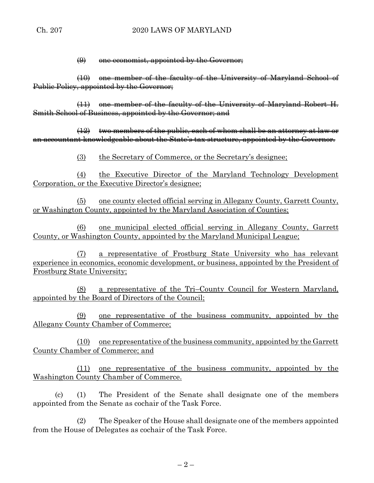$$(9)$  one economists, appointed by the Government;$ 

(10) one member of the faculty of the University of Maryland School of Public Policy, appointed by the Governor;

(11) one member of the faculty of the University of Maryland Robert H. Smith School of Business, appointed by the Governor; and

(12) two members of the public, each of whom shall be an attorney at law or an accountant knowledgeable about the State's tax structure, appointed by the Governor.

(3) the Secretary of Commerce, or the Secretary's designee;

(4) the Executive Director of the Maryland Technology Development Corporation, or the Executive Director's designee;

(5) one county elected official serving in Allegany County, Garrett County, or Washington County, appointed by the Maryland Association of Counties;

(6) one municipal elected official serving in Allegany County, Garrett County, or Washington County, appointed by the Maryland Municipal League;

(7) a representative of Frostburg State University who has relevant experience in economics, economic development, or business, appointed by the President of Frostburg State University;

(8) a representative of the Tri–County Council for Western Maryland, appointed by the Board of Directors of the Council;

(9) one representative of the business community, appointed by the Allegany County Chamber of Commerce;

(10) one representative of the business community, appointed by the Garrett County Chamber of Commerce; and

(11) one representative of the business community, appointed by the Washington County Chamber of Commerce.

(c) (1) The President of the Senate shall designate one of the members appointed from the Senate as cochair of the Task Force.

(2) The Speaker of the House shall designate one of the members appointed from the House of Delegates as cochair of the Task Force.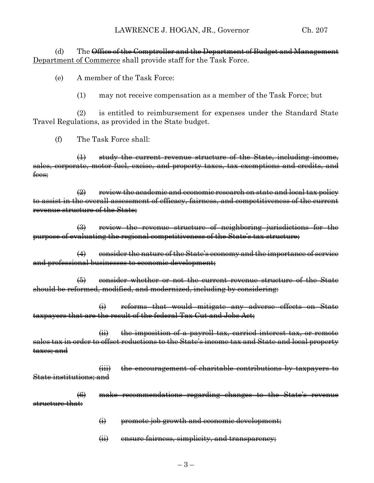(d) The <del>Office of the Comptroller and the Department of Budget and Management</del> Department of Commerce shall provide staff for the Task Force.

(e) A member of the Task Force:

(1) may not receive compensation as a member of the Task Force; but

(2) is entitled to reimbursement for expenses under the Standard State Travel Regulations, as provided in the State budget.

(f) The Task Force shall:

(1) study the current revenue structure of the State, including income, sales, corporate, motor fuel, excise, and property taxes, tax exemptions and credits, and fees;

 $\left( 2 \right)$  review the academic and economic research on state and local tax policy to assist in the overall assessment of efficacy, fairness, and competitiveness of the current revenue structure of the State;

(3) review the revenue structure of neighboring jurisdictions for the purpose of evaluating the regional competitiveness of the State's tax structure;

(4) consider the nature of the State's economy and the importance of service and professional businesses to economic development;

(5) consider whether or not the current revenue structure of the State should be reformed, modified, and modernized, including by considering:

(i) reforms that would mitigate any adverse effects on State taxpayers that are the result of the federal Tax Cut and Jobs Act;

(ii) the imposition of a payroll tax, carried interest tax, or remote sales tax in order to offset reductions to the State's income tax and State and local property taxes; and

(iii) the encouragement of charitable contributions by taxpayers to State institutions; and

(6) make recommendations regarding changes to the State's revenue structure that:

- $\leftrightarrow$  promote job growth and economic development;
- (ii) ensure fairness, simplicity, and transparency;